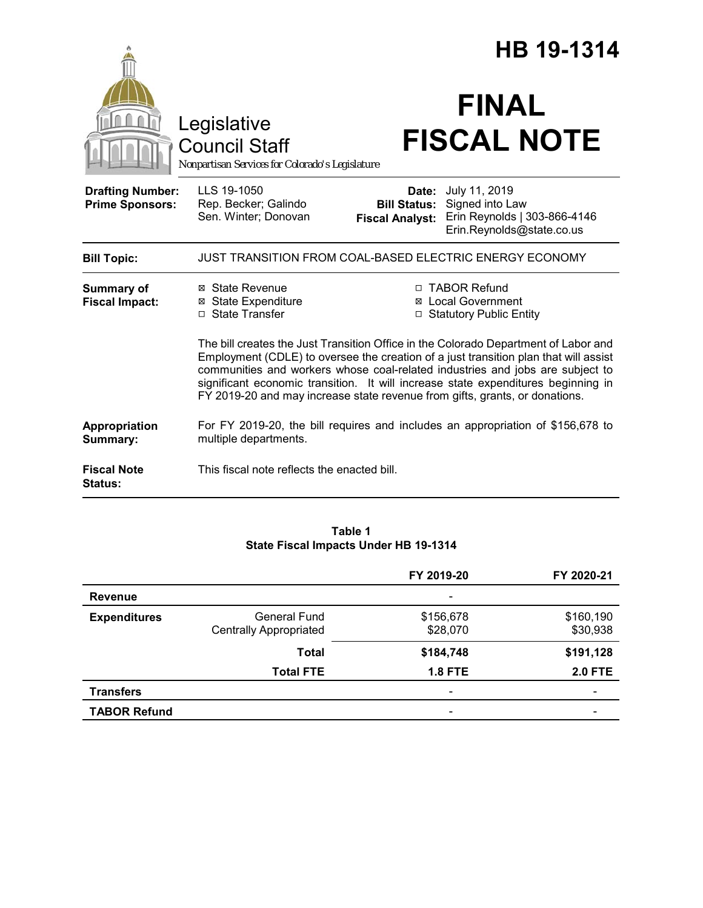|                                                   |                                                                                                                                                                                                                                                                                                                                                                                                                                  | HB 19-1314                                             |                                                                                               |  |
|---------------------------------------------------|----------------------------------------------------------------------------------------------------------------------------------------------------------------------------------------------------------------------------------------------------------------------------------------------------------------------------------------------------------------------------------------------------------------------------------|--------------------------------------------------------|-----------------------------------------------------------------------------------------------|--|
|                                                   | Legislative<br><b>Council Staff</b><br>Nonpartisan Services for Colorado's Legislature                                                                                                                                                                                                                                                                                                                                           |                                                        | <b>FINAL</b><br><b>FISCAL NOTE</b>                                                            |  |
| <b>Drafting Number:</b><br><b>Prime Sponsors:</b> | LLS 19-1050<br>Rep. Becker; Galindo<br>Sen. Winter; Donovan                                                                                                                                                                                                                                                                                                                                                                      | Date:<br><b>Bill Status:</b><br><b>Fiscal Analyst:</b> | July 11, 2019<br>Signed into Law<br>Erin Reynolds   303-866-4146<br>Erin.Reynolds@state.co.us |  |
| <b>Bill Topic:</b>                                |                                                                                                                                                                                                                                                                                                                                                                                                                                  |                                                        | JUST TRANSITION FROM COAL-BASED ELECTRIC ENERGY ECONOMY                                       |  |
| <b>Summary of</b><br><b>Fiscal Impact:</b>        | ⊠ State Revenue<br><b>⊠</b> State Expenditure<br>□ State Transfer                                                                                                                                                                                                                                                                                                                                                                |                                                        | □ TABOR Refund<br>⊠ Local Government<br>□ Statutory Public Entity                             |  |
|                                                   | The bill creates the Just Transition Office in the Colorado Department of Labor and<br>Employment (CDLE) to oversee the creation of a just transition plan that will assist<br>communities and workers whose coal-related industries and jobs are subject to<br>significant economic transition. It will increase state expenditures beginning in<br>FY 2019-20 and may increase state revenue from gifts, grants, or donations. |                                                        |                                                                                               |  |
| Appropriation<br>Summary:                         | multiple departments.                                                                                                                                                                                                                                                                                                                                                                                                            |                                                        | For FY 2019-20, the bill requires and includes an appropriation of \$156,678 to               |  |
| <b>Fiscal Note</b><br>Status:                     | This fiscal note reflects the enacted bill.                                                                                                                                                                                                                                                                                                                                                                                      |                                                        |                                                                                               |  |

### **Table 1 State Fiscal Impacts Under HB 19-1314**

|                     |                               | FY 2019-20                   | FY 2020-21            |
|---------------------|-------------------------------|------------------------------|-----------------------|
| Revenue             |                               |                              |                       |
| <b>Expenditures</b> | General Fund                  | \$156,678                    | \$160,190<br>\$30,938 |
|                     | <b>Centrally Appropriated</b> | \$28,070                     |                       |
|                     | Total                         | \$184,748                    | \$191,128             |
|                     | <b>Total FTE</b>              | <b>1.8 FTE</b>               | <b>2.0 FTE</b>        |
| <b>Transfers</b>    |                               | $\qquad \qquad \blacksquare$ |                       |
| <b>TABOR Refund</b> |                               | $\overline{\phantom{0}}$     |                       |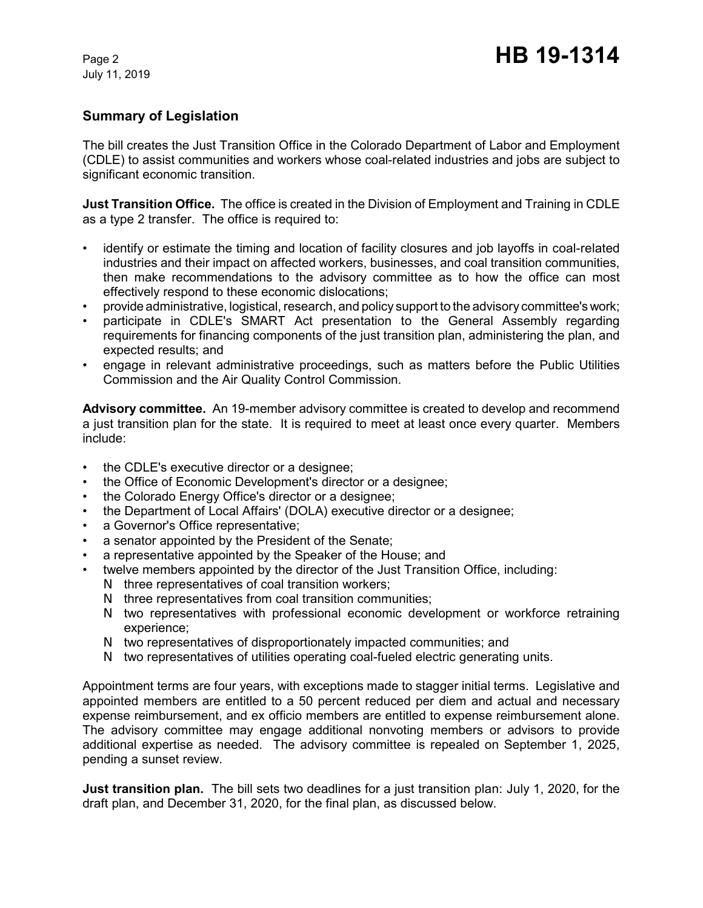# **Summary of Legislation**

The bill creates the Just Transition Office in the Colorado Department of Labor and Employment (CDLE) to assist communities and workers whose coal-related industries and jobs are subject to significant economic transition.

**Just Transition Office.** The office is created in the Division of Employment and Training in CDLE as a type 2 transfer. The office is required to:

- identify or estimate the timing and location of facility closures and job layoffs in coal-related industries and their impact on affected workers, businesses, and coal transition communities, then make recommendations to the advisory committee as to how the office can most effectively respond to these economic dislocations;
- provide administrative, logistical, research, and policy support to the advisory committee's work;
- participate in CDLE's SMART Act presentation to the General Assembly regarding requirements for financing components of the just transition plan, administering the plan, and expected results; and
- engage in relevant administrative proceedings, such as matters before the Public Utilities Commission and the Air Quality Control Commission.

**Advisory committee.** An 19-member advisory committee is created to develop and recommend a just transition plan for the state. It is required to meet at least once every quarter. Members include:

- the CDLE's executive director or a designee;
- the Office of Economic Development's director or a designee;
- the Colorado Energy Office's director or a designee;
- the Department of Local Affairs' (DOLA) executive director or a designee;
- a Governor's Office representative;
- a senator appointed by the President of the Senate;
- a representative appointed by the Speaker of the House; and
- twelve members appointed by the director of the Just Transition Office, including:
	- N three representatives of coal transition workers;
	- N three representatives from coal transition communities;
	- N two representatives with professional economic development or workforce retraining experience;
	- N two representatives of disproportionately impacted communities; and
	- N two representatives of utilities operating coal-fueled electric generating units.

Appointment terms are four years, with exceptions made to stagger initial terms. Legislative and appointed members are entitled to a 50 percent reduced per diem and actual and necessary expense reimbursement, and ex officio members are entitled to expense reimbursement alone. The advisory committee may engage additional nonvoting members or advisors to provide additional expertise as needed. The advisory committee is repealed on September 1, 2025, pending a sunset review.

**Just transition plan.** The bill sets two deadlines for a just transition plan: July 1, 2020, for the draft plan, and December 31, 2020, for the final plan, as discussed below.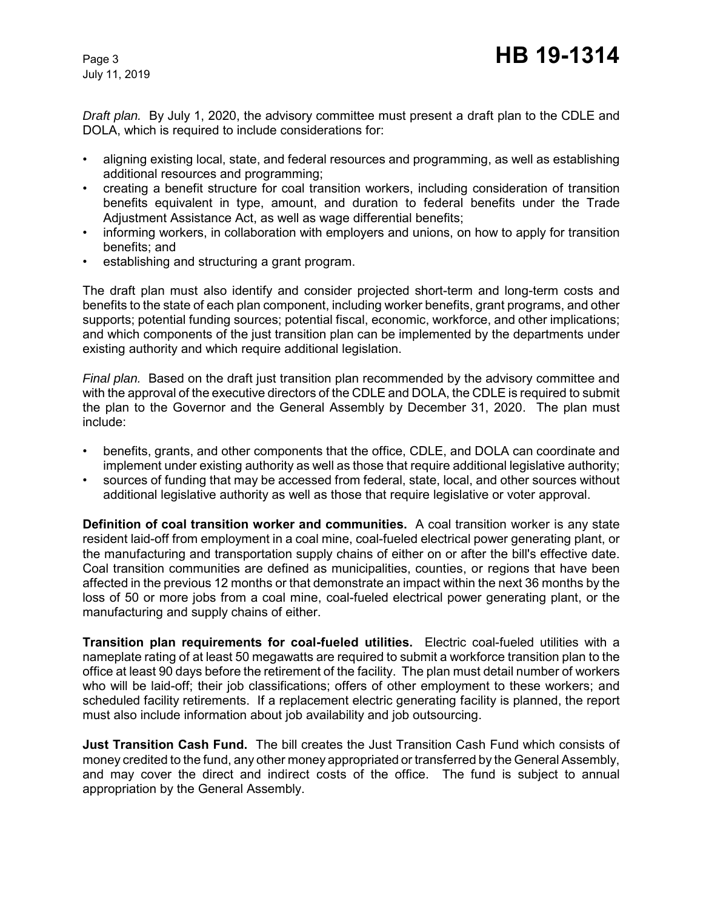*Draft plan.* By July 1, 2020, the advisory committee must present a draft plan to the CDLE and DOLA, which is required to include considerations for:

- aligning existing local, state, and federal resources and programming, as well as establishing additional resources and programming;
- creating a benefit structure for coal transition workers, including consideration of transition benefits equivalent in type, amount, and duration to federal benefits under the Trade Adjustment Assistance Act, as well as wage differential benefits;
- informing workers, in collaboration with employers and unions, on how to apply for transition benefits; and
- establishing and structuring a grant program.

The draft plan must also identify and consider projected short-term and long-term costs and benefits to the state of each plan component, including worker benefits, grant programs, and other supports; potential funding sources; potential fiscal, economic, workforce, and other implications; and which components of the just transition plan can be implemented by the departments under existing authority and which require additional legislation.

*Final plan.* Based on the draft just transition plan recommended by the advisory committee and with the approval of the executive directors of the CDLE and DOLA, the CDLE is required to submit the plan to the Governor and the General Assembly by December 31, 2020. The plan must include:

- benefits, grants, and other components that the office, CDLE, and DOLA can coordinate and implement under existing authority as well as those that require additional legislative authority;
- sources of funding that may be accessed from federal, state, local, and other sources without additional legislative authority as well as those that require legislative or voter approval.

**Definition of coal transition worker and communities.** A coal transition worker is any state resident laid-off from employment in a coal mine, coal-fueled electrical power generating plant, or the manufacturing and transportation supply chains of either on or after the bill's effective date. Coal transition communities are defined as municipalities, counties, or regions that have been affected in the previous 12 months or that demonstrate an impact within the next 36 months by the loss of 50 or more jobs from a coal mine, coal-fueled electrical power generating plant, or the manufacturing and supply chains of either.

**Transition plan requirements for coal-fueled utilities.** Electric coal-fueled utilities with a nameplate rating of at least 50 megawatts are required to submit a workforce transition plan to the office at least 90 days before the retirement of the facility. The plan must detail number of workers who will be laid-off; their job classifications; offers of other employment to these workers; and scheduled facility retirements. If a replacement electric generating facility is planned, the report must also include information about job availability and job outsourcing.

**Just Transition Cash Fund.** The bill creates the Just Transition Cash Fund which consists of money credited to the fund, any other money appropriated or transferred by the General Assembly, and may cover the direct and indirect costs of the office. The fund is subject to annual appropriation by the General Assembly.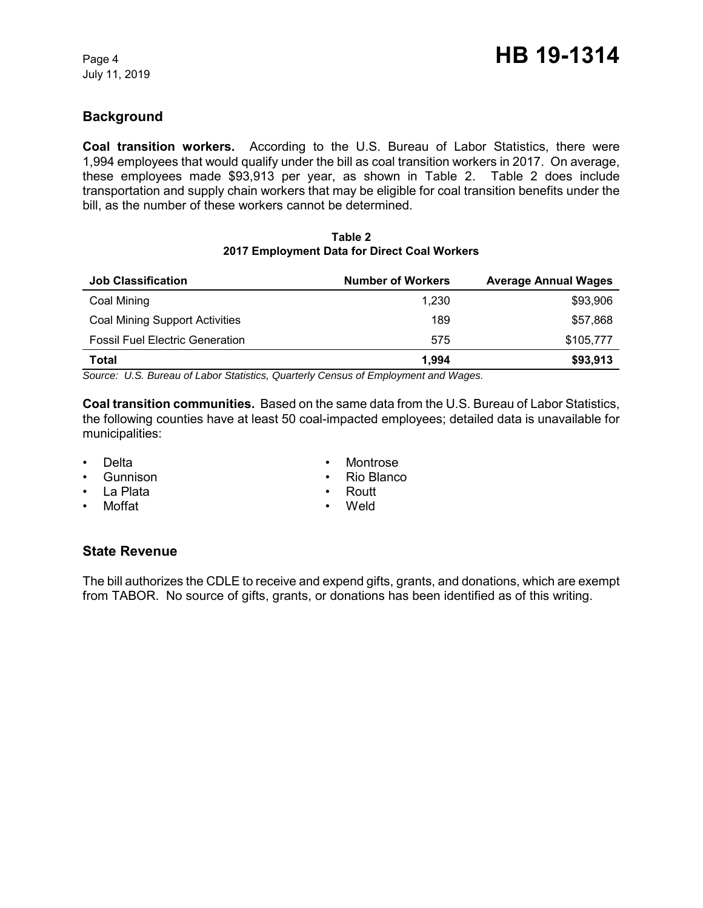# **Background**

**Coal transition workers.** According to the U.S. Bureau of Labor Statistics, there were 1,994 employees that would qualify under the bill as coal transition workers in 2017. On average, these employees made \$93,913 per year, as shown in Table 2. Table 2 does include transportation and supply chain workers that may be eligible for coal transition benefits under the bill, as the number of these workers cannot be determined.

#### **Table 2 2017 Employment Data for Direct Coal Workers**

| <b>Job Classification</b>              | <b>Number of Workers</b> | <b>Average Annual Wages</b> |
|----------------------------------------|--------------------------|-----------------------------|
| Coal Mining                            | 1.230                    | \$93,906                    |
| <b>Coal Mining Support Activities</b>  | 189                      | \$57,868                    |
| <b>Fossil Fuel Electric Generation</b> | 575                      | \$105,777                   |
| Total                                  | 1.994                    | \$93,913                    |
| ________                               |                          |                             |

*Source: U.S. Bureau of Labor Statistics, Quarterly Census of Employment and Wages.*

**Coal transition communities.** Based on the same data from the U.S. Bureau of Labor Statistics, the following counties have at least 50 coal-impacted employees; detailed data is unavailable for municipalities:

- Delta
- Gunnison
- La Plata
- Moffat
- Montrose
- Rio Blanco
- Routt
- Weld

### **State Revenue**

The bill authorizes the CDLE to receive and expend gifts, grants, and donations, which are exempt from TABOR. No source of gifts, grants, or donations has been identified as of this writing.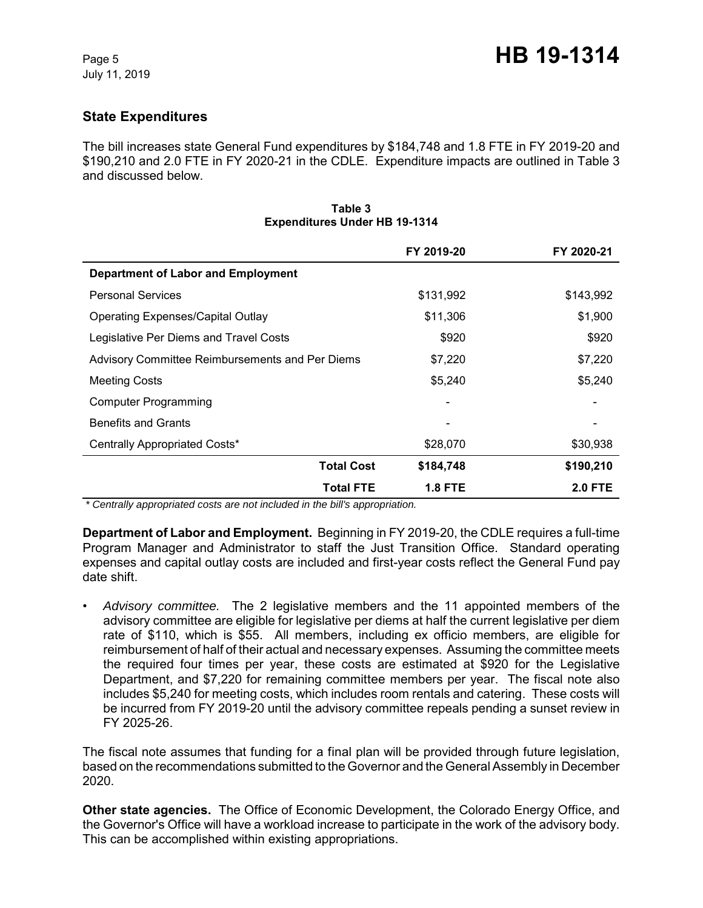# **State Expenditures**

The bill increases state General Fund expenditures by \$184,748 and 1.8 FTE in FY 2019-20 and \$190,210 and 2.0 FTE in FY 2020-21 in the CDLE. Expenditure impacts are outlined in Table 3 and discussed below.

|                                                 | FY 2019-20     | FY 2020-21     |
|-------------------------------------------------|----------------|----------------|
| <b>Department of Labor and Employment</b>       |                |                |
| <b>Personal Services</b>                        | \$131,992      | \$143,992      |
| <b>Operating Expenses/Capital Outlay</b>        | \$11,306       | \$1,900        |
| Legislative Per Diems and Travel Costs          | \$920          | \$920          |
| Advisory Committee Reimbursements and Per Diems | \$7,220        | \$7,220        |
| <b>Meeting Costs</b>                            | \$5,240        | \$5,240        |
| <b>Computer Programming</b>                     |                |                |
| <b>Benefits and Grants</b>                      |                |                |
| Centrally Appropriated Costs*                   | \$28,070       | \$30,938       |
| <b>Total Cost</b>                               | \$184,748      | \$190,210      |
| <b>Total FTE</b>                                | <b>1.8 FTE</b> | <b>2.0 FTE</b> |

#### **Table 3 Expenditures Under HB 19-1314**

 *\* Centrally appropriated costs are not included in the bill's appropriation.*

**Department of Labor and Employment.** Beginning in FY 2019-20, the CDLE requires a full-time Program Manager and Administrator to staff the Just Transition Office. Standard operating expenses and capital outlay costs are included and first-year costs reflect the General Fund pay date shift.

• *Advisory committee.* The 2 legislative members and the 11 appointed members of the advisory committee are eligible for legislative per diems at half the current legislative per diem rate of \$110, which is \$55. All members, including ex officio members, are eligible for reimbursement of half of their actual and necessary expenses. Assuming the committee meets the required four times per year, these costs are estimated at \$920 for the Legislative Department, and \$7,220 for remaining committee members per year. The fiscal note also includes \$5,240 for meeting costs, which includes room rentals and catering. These costs will be incurred from FY 2019-20 until the advisory committee repeals pending a sunset review in FY 2025-26.

The fiscal note assumes that funding for a final plan will be provided through future legislation, based on the recommendations submitted to the Governor and the General Assembly in December 2020.

**Other state agencies.** The Office of Economic Development, the Colorado Energy Office, and the Governor's Office will have a workload increase to participate in the work of the advisory body. This can be accomplished within existing appropriations.